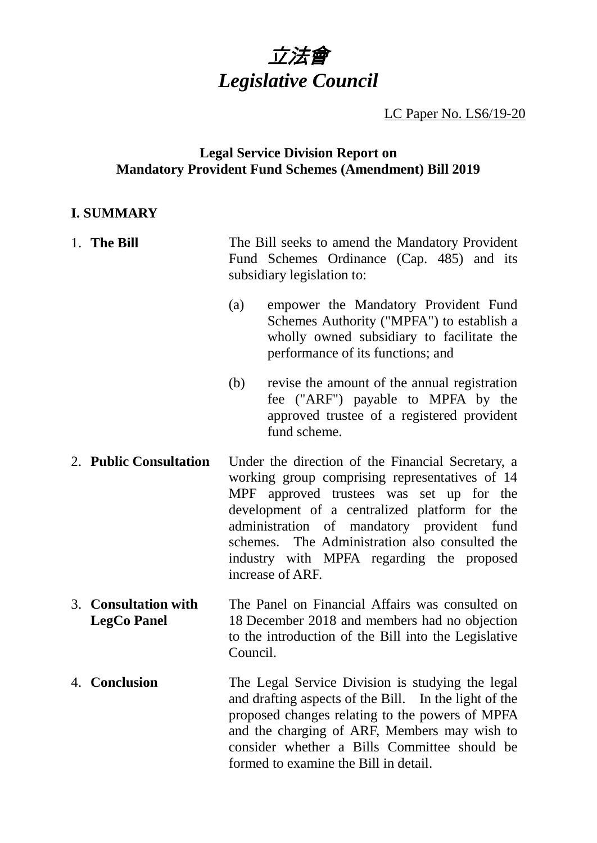

LC Paper No. LS6/19-20

## **Legal Service Division Report on Mandatory Provident Fund Schemes (Amendment) Bill 2019**

## **I. SUMMARY**

| 1. The Bill                                | The Bill seeks to amend the Mandatory Provident<br>Fund Schemes Ordinance (Cap. 485) and its<br>subsidiary legislation to:                                                                                                                                                                                                                                        |
|--------------------------------------------|-------------------------------------------------------------------------------------------------------------------------------------------------------------------------------------------------------------------------------------------------------------------------------------------------------------------------------------------------------------------|
|                                            | empower the Mandatory Provident Fund<br>(a)<br>Schemes Authority ("MPFA") to establish a<br>wholly owned subsidiary to facilitate the<br>performance of its functions; and                                                                                                                                                                                        |
|                                            | (b)<br>revise the amount of the annual registration<br>fee ("ARF") payable to MPFA by the<br>approved trustee of a registered provident<br>fund scheme.                                                                                                                                                                                                           |
| 2. Public Consultation                     | Under the direction of the Financial Secretary, a<br>working group comprising representatives of 14<br>MPF approved trustees was set up for the<br>development of a centralized platform for the<br>administration of mandatory provident fund<br>schemes. The Administration also consulted the<br>industry with MPFA regarding the proposed<br>increase of ARF. |
| 3. Consultation with<br><b>LegCo Panel</b> | The Panel on Financial Affairs was consulted on<br>18 December 2018 and members had no objection<br>to the introduction of the Bill into the Legislative<br>Council.                                                                                                                                                                                              |
| 4. Conclusion                              | The Legal Service Division is studying the legal                                                                                                                                                                                                                                                                                                                  |

and drafting aspects of the Bill. In the light of the proposed changes relating to the powers of MPFA and the charging of ARF, Members may wish to consider whether a Bills Committee should be formed to examine the Bill in detail.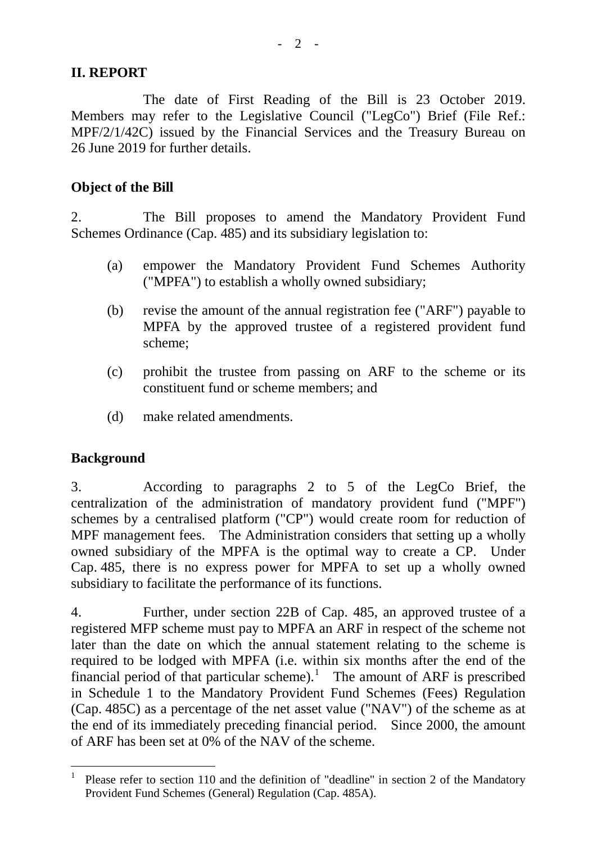## **II. REPORT**

The date of First Reading of the Bill is 23 October 2019. Members may refer to the Legislative Council ("LegCo") Brief (File Ref.: MPF/2/1/42C) issued by the Financial Services and the Treasury Bureau on 26 June 2019 for further details.

## **Object of the Bill**

2. The Bill proposes to amend the Mandatory Provident Fund Schemes Ordinance (Cap. 485) and its subsidiary legislation to:

- (a) empower the Mandatory Provident Fund Schemes Authority ("MPFA") to establish a wholly owned subsidiary;
- (b) revise the amount of the annual registration fee ("ARF") payable to MPFA by the approved trustee of a registered provident fund scheme;
- (c) prohibit the trustee from passing on ARF to the scheme or its constituent fund or scheme members; and
- (d) make related amendments.

## **Background**

3. According to paragraphs 2 to 5 of the LegCo Brief, the centralization of the administration of mandatory provident fund ("MPF") schemes by a centralised platform ("CP") would create room for reduction of MPF management fees. The Administration considers that setting up a wholly owned subsidiary of the MPFA is the optimal way to create a CP. Under Cap. 485, there is no express power for MPFA to set up a wholly owned subsidiary to facilitate the performance of its functions.

4. Further, under section 22B of Cap. 485, an approved trustee of a registered MFP scheme must pay to MPFA an ARF in respect of the scheme not later than the date on which the annual statement relating to the scheme is required to be lodged with MPFA (i.e. within six months after the end of the financial period of that particular scheme).<sup>[1](#page-1-0)</sup> The amount of ARF is prescribed in Schedule 1 to the Mandatory Provident Fund Schemes (Fees) Regulation (Cap. 485C) as a percentage of the net asset value ("NAV") of the scheme as at the end of its immediately preceding financial period. Since 2000, the amount of ARF has been set at 0% of the NAV of the scheme.

<span id="page-1-0"></span>Please refer to section 110 and the definition of "deadline" in section 2 of the Mandatory Provident Fund Schemes (General) Regulation (Cap. 485A).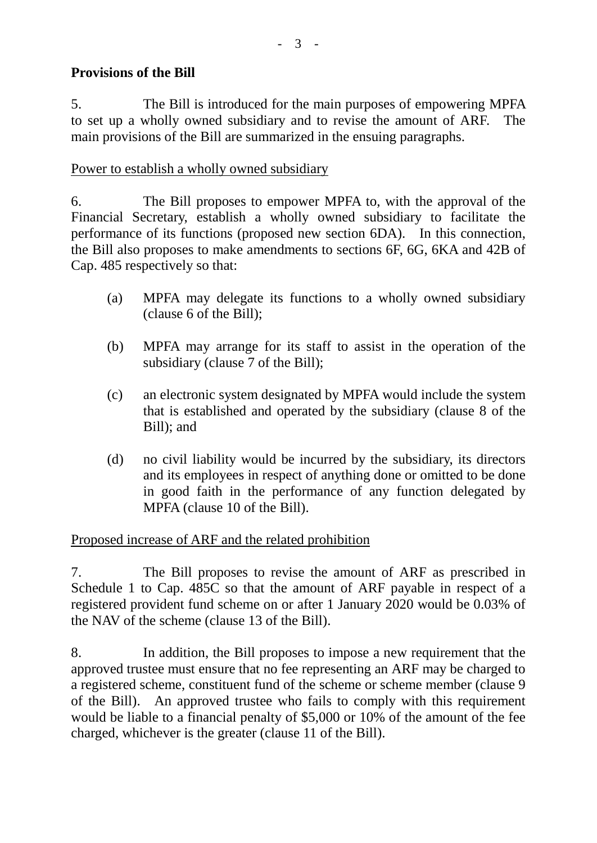## **Provisions of the Bill**

5. The Bill is introduced for the main purposes of empowering MPFA to set up a wholly owned subsidiary and to revise the amount of ARF. The main provisions of the Bill are summarized in the ensuing paragraphs.

# Power to establish a wholly owned subsidiary

6. The Bill proposes to empower MPFA to, with the approval of the Financial Secretary, establish a wholly owned subsidiary to facilitate the performance of its functions (proposed new section 6DA). In this connection, the Bill also proposes to make amendments to sections 6F, 6G, 6KA and 42B of Cap. 485 respectively so that:

- (a) MPFA may delegate its functions to a wholly owned subsidiary (clause 6 of the Bill);
- (b) MPFA may arrange for its staff to assist in the operation of the subsidiary (clause 7 of the Bill);
- (c) an electronic system designated by MPFA would include the system that is established and operated by the subsidiary (clause 8 of the Bill); and
- (d) no civil liability would be incurred by the subsidiary, its directors and its employees in respect of anything done or omitted to be done in good faith in the performance of any function delegated by MPFA (clause 10 of the Bill).

# Proposed increase of ARF and the related prohibition

7. The Bill proposes to revise the amount of ARF as prescribed in Schedule 1 to Cap. 485C so that the amount of ARF payable in respect of a registered provident fund scheme on or after 1 January 2020 would be 0.03% of the NAV of the scheme (clause 13 of the Bill).

8. In addition, the Bill proposes to impose a new requirement that the approved trustee must ensure that no fee representing an ARF may be charged to a registered scheme, constituent fund of the scheme or scheme member (clause 9 of the Bill). An approved trustee who fails to comply with this requirement would be liable to a financial penalty of \$5,000 or 10% of the amount of the fee charged, whichever is the greater (clause 11 of the Bill).